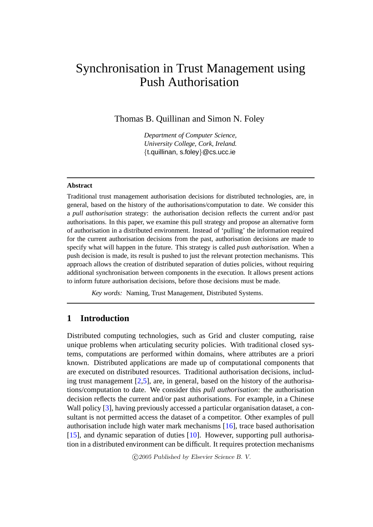# Synchronisation in Trust Management using Push Authorisation

Thomas B. Quillinan and Simon N. Foley

*Department of Computer Science, University College, Cork, Ireland.* {t.quillinan, s.foley}@cs.ucc.ie

### **Abstract**

Traditional trust management authorisation decisions for distributed technologies, are, in general, based on the history of the authorisations/computation to date. We consider this a *pull authorisation* strategy: the authorisation decision reflects the current and/or past authorisations. In this paper, we examine this pull strategy and propose an alternative form of authorisation in a distributed environment. Instead of 'pulling' the information required for the current authorisation decisions from the past, authorisation decisions are made to specify what will happen in the future. This strategy is called *push authorisation*. When a push decision is made, its result is pushed to just the relevant protection mechanisms. This approach allows the creation of distributed separation of duties policies, without requiring additional synchronisation between components in the execution. It allows present actions to inform future authorisation decisions, before those decisions must be made.

*Key words:* Naming, Trust Management, Distributed Systems.

# **1 Introduction**

Distributed computing technologies, such as Grid and cluster computing, raise unique problems when articulating security policies. With traditional closed systems, computations are performed within domains, where attributes are a priori known. Distributed applications are made up of computational components that are executed on distributed resources. Traditional authorisation decisions, including trust management  $[2,5]$  $[2,5]$ , are, in general, based on the history of the authorisations/computation to date. We consider this *pull authorisation*: the authorisation decision reflects the current and/or past authorisations. For example, in a Chinese Wall policy [\[3\]](#page-13-2), having previously accessed a particular organisation dataset, a consultant is not permitted access the dataset of a competitor. Other examples of pull authorisation include high water mark mechanisms [\[16\]](#page-13-3), trace based authorisation [\[15\]](#page-13-4), and dynamic separation of duties  $[10]$ . However, supporting pull authorisation in a distributed environment can be difficult. It requires protection mechanisms

c 2005 Published by Elsevier Science B. V.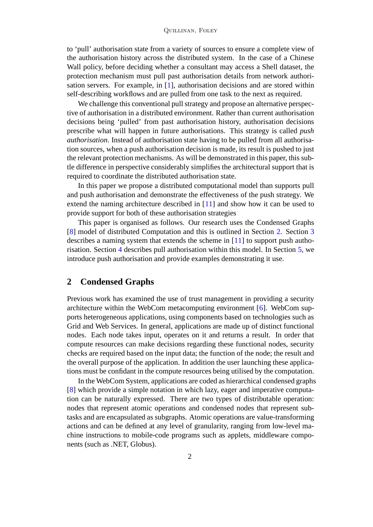to 'pull' authorisation state from a variety of sources to ensure a complete view of the authorisation history across the distributed system. In the case of a Chinese Wall policy, before deciding whether a consultant may access a Shell dataset, the protection mechanism must pull past authorisation details from network authorisation servers. For example, in [\[1\]](#page-13-6), authorisation decisions and are stored within self-describing workflows and are pulled from one task to the next as required.

We challenge this conventional pull strategy and propose an alternative perspective of authorisation in a distributed environment. Rather than current authorisation decisions being 'pulled' from past authorisation history, authorisation decisions prescribe what will happen in future authorisations. This strategy is called *push authorisation*. Instead of authorisation state having to be pulled from all authorisation sources, when a push authorisation decision is made, its result is pushed to just the relevant protection mechanisms. As will be demonstrated in this paper, this subtle difference in perspective considerably simplifies the architectural support that is required to coordinate the distributed authorisation state.

In this paper we propose a distributed computational model than supports pull and push authorisation and demonstrate the effectiveness of the push strategy. We extend the naming architecture described in [\[11\]](#page-13-7) and show how it can be used to provide support for both of these authorisation strategies

This paper is organised as follows. Our research uses the Condensed Graphs [\[8\]](#page-13-8) model of distributed Computation and this is outlined in Section [2.](#page-1-0) Section [3](#page-3-0) describes a naming system that extends the scheme in [\[11\]](#page-13-7) to support push authorisation. Section [4](#page-6-0) describes pull authorisation within this model. In Section [5,](#page-9-0) we introduce push authorisation and provide examples demonstrating it use.

## <span id="page-1-0"></span>**2 Condensed Graphs**

Previous work has examined the use of trust management in providing a security architecture within the WebCom metacomputing environment [\[6\]](#page-13-9). WebCom supports heterogeneous applications, using components based on technologies such as Grid and Web Services. In general, applications are made up of distinct functional nodes. Each node takes input, operates on it and returns a result. In order that compute resources can make decisions regarding these functional nodes, security checks are required based on the input data; the function of the node; the result and the overall purpose of the application. In addition the user launching these applications must be confidant in the compute resources being utilised by the computation.

In the WebCom System, applications are coded as hierarchical condensed graphs [\[8\]](#page-13-8) which provide a simple notation in which lazy, eager and imperative computation can be naturally expressed. There are two types of distributable operation: nodes that represent atomic operations and condensed nodes that represent subtasks and are encapsulated as subgraphs. Atomic operations are value-transforming actions and can be defined at any level of granularity, ranging from low-level machine instructions to mobile-code programs such as applets, middleware components (such as .NET, Globus).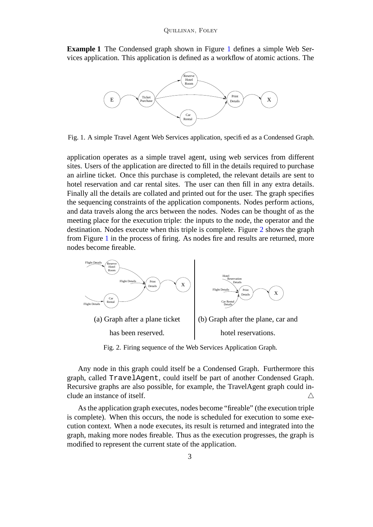**Example 1** The Condensed graph shown in Figure [1](#page-2-0) defines a simple Web Services application. This application is defined as a workflow of atomic actions. The



<span id="page-2-0"></span>Fig. 1. A simple Travel Agent Web Services application, specified as a Condensed Graph.

application operates as a simple travel agent, using web services from different sites. Users of the application are directed to fill in the details required to purchase an airline ticket. Once this purchase is completed, the relevant details are sent to hotel reservation and car rental sites. The user can then fill in any extra details. Finally all the details are collated and printed out for the user. The graph specifies the sequencing constraints of the application components. Nodes perform actions, and data travels along the arcs between the nodes. Nodes can be thought of as the meeting place for the execution triple: the inputs to the node, the operator and the destination. Nodes execute when this triple is complete. Figure [2](#page-2-1) shows the graph from Figure [1](#page-2-0) in the process of firing. As nodes fire and results are returned, more nodes become fireable.



Fig. 2. Firing sequence of the Web Services Application Graph.

<span id="page-2-1"></span>Any node in this graph could itself be a Condensed Graph. Furthermore this graph, called TravelAgent, could itself be part of another Condensed Graph. Recursive graphs are also possible, for example, the TravelAgent graph could include an instance of itself.  $\triangle$ 

Asthe application graph executes, nodes become "fireable" (the execution triple is complete). When this occurs, the node is scheduled for execution to some execution context. When a node executes, its result is returned and integrated into the graph, making more nodes fireable. Thus as the execution progresses, the graph is modified to represent the current state of the application.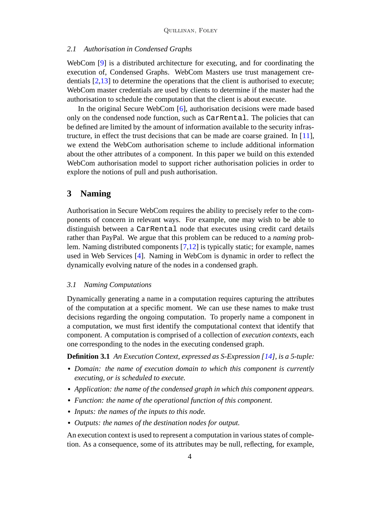### *2.1 Authorisation in Condensed Graphs*

WebCom [\[9\]](#page-13-10) is a distributed architecture for executing, and for coordinating the execution of, Condensed Graphs. WebCom Masters use trust management credentials [\[2](#page-13-0)[,13\]](#page-13-11) to determine the operations that the client is authorised to execute; WebCom master credentials are used by clients to determine if the master had the authorisation to schedule the computation that the client is about execute.

In the original Secure WebCom [\[6\]](#page-13-9), authorisation decisions were made based only on the condensed node function, such as CarRental. The policies that can be defined are limited by the amount of information available to the security infrastructure, in effect the trust decisions that can be made are coarse grained. In [\[11\]](#page-13-7), we extend the WebCom authorisation scheme to include additional information about the other attributes of a component. In this paper we build on this extended WebCom authorisation model to support richer authorisation policies in order to explore the notions of pull and push authorisation.

## <span id="page-3-0"></span>**3 Naming**

Authorisation in Secure WebCom requires the ability to precisely refer to the components of concern in relevant ways. For example, one may wish to be able to distinguish between a CarRental node that executes using credit card details rather than PayPal. We argue that this problem can be reduced to a *naming* problem. Naming distributed components [\[7,](#page-13-12)[12\]](#page-13-13) is typically static; for example, names used in Web Services [\[4\]](#page-13-14). Naming in WebCom is dynamic in order to reflect the dynamically evolving nature of the nodes in a condensed graph.

### *3.1 Naming Computations*

Dynamically generating a name in a computation requires capturing the attributes of the computation at a specific moment. We can use these names to make trust decisions regarding the ongoing computation. To properly name a component in a computation, we must first identify the computational context that identify that component. A computation is comprised of a collection of *execution contexts*, each one corresponding to the nodes in the executing condensed graph.

**Definition 3.1** *An Execution Context, expressed as S-Expression [\[14\]](#page-13-15), is a 5-tuple:*

- *Domain: the name of execution domain to which this component is currently executing, or is scheduled to execute.*
- *Application: the name of the condensed graph in which this component appears.*
- *Function: the name of the operational function of this component.*
- *Inputs: the names of the inputs to this node.*
- *Outputs: the names of the destination nodes for output.*

An execution context is used to represent a computation in various states of completion. As a consequence, some of its attributes may be null, reflecting, for example,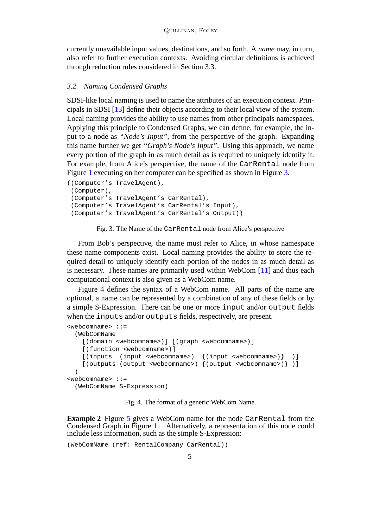currently unavailable input values, destinations, and so forth. A *name* may, in turn, also refer to further execution contexts. Avoiding circular definitions is achieved through reduction rules considered in Section 3.3.

### *3.2 Naming Condensed Graphs*

SDSI-like local naming is used to name the attributes of an execution context. Principals in SDSI [\[13\]](#page-13-11) define their objects according to their local view of the system. Local naming provides the ability to use names from other principals namespaces. Applying this principle to Condensed Graphs, we can define, for example, the input to a node as *"Node's Input"*, from the perspective of the graph. Expanding this name further we get *"Graph's Node's Input"*. Using this approach, we name every portion of the graph in as much detail as is required to uniquely identify it. For example, from Alice's perspective, the name of the CarRental node from Figure [1](#page-2-0) executing on her computer can be specified as shown in Figure [3.](#page-4-0)

```
((Computer's TravelAgent),
 (Computer),
 (Computer's TravelAgent's CarRental),
 (Computer's TravelAgent's CarRental's Input),
 (Computer's TravelAgent's CarRental's Output))
```
### Fig. 3. The Name of the CarRental node from Alice's perspective

<span id="page-4-0"></span>From Bob's perspective, the name must refer to Alice, in whose namespace these name-components exist. Local naming provides the ability to store the required detail to uniquely identify each portion of the nodes in as much detail as is necessary. These names are primarily used within WebCom [\[11\]](#page-13-7) and thus each computational context is also given as a WebCom name.

Figure [4](#page-4-1) defines the syntax of a WebCom name. All parts of the name are optional, a name can be represented by a combination of any of these fields or by a simple S-Expression. There can be one or more input and/or output fields when the inputs and/or outputs fields, respectively, are present.

```
<webcomname> ::=
  (WebComName
   [(domain <webcomname>)] [(graph <webcomname>)]
    [(function <webcomname>)]
   [(inputs (input <webcomname>) {(input <webcomname>)} )]
   [(outputs (output <webcomname>) {(output <webcomname>)} )]
 )
<webcomname> ::=
  (WebComName S-Expression)
```
<span id="page-4-1"></span>Fig. 4. The format of a generic WebCom Name.

**Example 2** Figure [5](#page-5-0) gives a WebCom name for the node CarRental from the Condensed Graph in Figure [1.](#page-2-0) Alternatively, a representation of this node could include less information, such as the simple S-Expression:

```
(WebComName (ref: RentalCompany CarRental))
```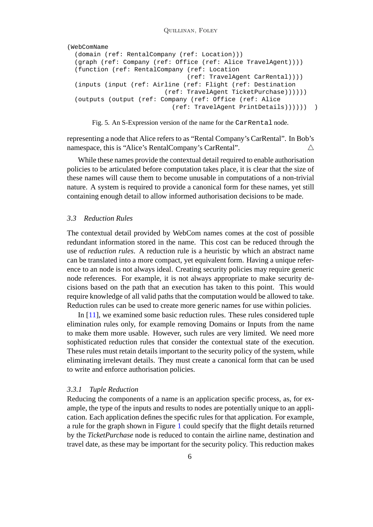```
(WebComName
  (domain (ref: RentalCompany (ref: Location)))
  (graph (ref: Company (ref: Office (ref: Alice TravelAgent))))
  (function (ref: RentalCompany (ref: Location
                                (ref: TravelAgent CarRental))))
  (inputs (input (ref: Airline (ref: Flight (ref: Destination
                          (ref: TravelAgent TicketPurchase))))))
  (outputs (output (ref: Company (ref: Office (ref: Alice
                            (ref: TravelAgent PrintDetails)))))) )
```
Fig. 5. An S-Expression version of the name for the CarRental node.

<span id="page-5-0"></span>representing a node that Alice refers to as "Rental Company's CarRental". In Bob's namespace, this is "Alice's RentalCompany's CarRental".

While these names provide the contextual detail required to enable authorisation policies to be articulated before computation takes place, it is clear that the size of these names will cause them to become unusable in computations of a non-trivial nature. A system is required to provide a canonical form for these names, yet still containing enough detail to allow informed authorisation decisions to be made.

### *3.3 Reduction Rules*

The contextual detail provided by WebCom names comes at the cost of possible redundant information stored in the name. This cost can be reduced through the use of *reduction rules*. A reduction rule is a heuristic by which an abstract name can be translated into a more compact, yet equivalent form. Having a unique reference to an node is not always ideal. Creating security policies may require generic node references. For example, it is not always appropriate to make security decisions based on the path that an execution has taken to this point. This would require knowledge of all valid paths that the computation would be allowed to take. Reduction rules can be used to create more generic names for use within policies.

In [\[11\]](#page-13-7), we examined some basic reduction rules. These rules considered tuple elimination rules only, for example removing Domains or Inputs from the name to make them more usable. However, such rules are very limited. We need more sophisticated reduction rules that consider the contextual state of the execution. These rules must retain details important to the security policy of the system, while eliminating irrelevant details. They must create a canonical form that can be used to write and enforce authorisation policies.

#### *3.3.1 Tuple Reduction*

Reducing the components of a name is an application specific process, as, for example, the type of the inputs and results to nodes are potentially unique to an application. Each application defines the specific rules for that application. For example, a rule for the graph shown in Figure [1](#page-2-0) could specify that the flight details returned by the *TicketPurchase* node is reduced to contain the airline name, destination and travel date, as these may be important for the security policy. This reduction makes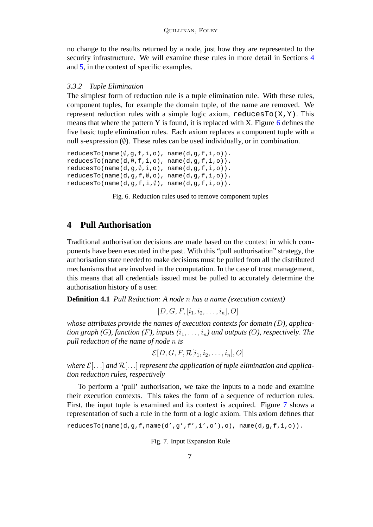no change to the results returned by a node, just how they are represented to the security infrastructure. We will examine these rules in more detail in Sections [4](#page-6-0) and [5,](#page-9-0) in the context of specific examples.

### <span id="page-6-3"></span>*3.3.2 Tuple Elimination*

The simplest form of reduction rule is a tuple elimination rule. With these rules, component tuples, for example the domain tuple, of the name are removed. We represent reduction rules with a simple logic axiom, reduces  $To(X, Y)$ . This means that where the pattern Y is found, it is replaced with X. Figure [6](#page-6-1) defines the five basic tuple elimination rules. Each axiom replaces a component tuple with a null s-expression  $(\emptyset)$ . These rules can be used individually, or in combination.

```
reducesTo(name(∅,g,f,i,o), name(d,g,f,i,o)).
reducesTo(name(d,∅,f,i,o), name(d,g,f,i,o)).
reducesTo(name(d,g,\emptyset,i,o), name(d,g,f,i,o)).reducesTo(name(d,g,f,∅,o), name(d,g,f,i,o)).
reducesTo(name(d,g,f,i,\emptyset)), name(d,g,f,i,o)).
```
<span id="page-6-1"></span>Fig. 6. Reduction rules used to remove component tuples

# <span id="page-6-0"></span>**4 Pull Authorisation**

Traditional authorisation decisions are made based on the context in which components have been executed in the past. With this "pull authorisation" strategy, the authorisation state needed to make decisions must be pulled from all the distributed mechanisms that are involved in the computation. In the case of trust management, this means that all credentials issued must be pulled to accurately determine the authorisation history of a user.

**Definition 4.1** *Pull Reduction: A node* n *has a name (execution context)*

 $[D, G, F, [i_1, i_2, \ldots, i_n], O]$ 

*whose attributes provide the names of execution contexts for domain (*D*), application graph* (*G*), *function* (*F*), *inputs*  $(i_1, \ldots, i_n)$  *and outputs* (*O*), *respectively. The pull reduction of the name of node* n *is*

$$
\mathcal{E}[D,G,F,\mathcal{R}[i_1,i_2,\ldots,i_n],O]
$$

*where*  $\mathcal{E}[...]$  *and*  $\mathcal{R}[...]$  *represent the application of tuple elimination and application reduction rules, respectively*

To perform a 'pull' authorisation, we take the inputs to a node and examine their execution contexts. This takes the form of a sequence of reduction rules. First, the input tuple is examined and its context is acquired. Figure [7](#page-6-2) shows a representation of such a rule in the form of a logic axiom. This axiom defines that

reducesTo(name(d,g,f,name(d',g',f',i',o'),o), name(d,g,f,i,o)).

<span id="page-6-2"></span>Fig. 7. Input Expansion Rule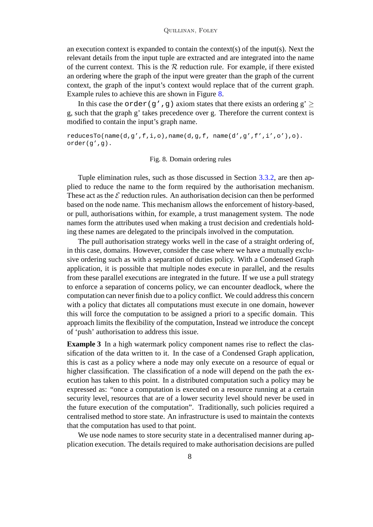an execution context is expanded to contain the context(s) of the input(s). Next the relevant details from the input tuple are extracted and are integrated into the name of the current context. This is the  $R$  reduction rule. For example, if there existed an ordering where the graph of the input were greater than the graph of the current context, the graph of the input's context would replace that of the current graph. Example rules to achieve this are shown in Figure [8.](#page-7-0)

In this case the order (g',g) axiom states that there exists an ordering  $g' \ge$ g, such that the graph g' takes precedence over g. Therefore the current context is modified to contain the input's graph name.

reducesTo(name(d,g',f,i,o),name(d,g,f, name(d',g',f',i',o'),o). order(g',g).

#### <span id="page-7-0"></span>Fig. 8. Domain ordering rules

Tuple elimination rules, such as those discussed in Section [3.3.2,](#page-6-3) are then applied to reduce the name to the form required by the authorisation mechanism. These act as the  $\mathcal E$  reduction rules. An authorisation decision can then be performed based on the node name. This mechanism allows the enforcement of history-based, or pull, authorisations within, for example, a trust management system. The node names form the attributes used when making a trust decision and credentials holding these names are delegated to the principals involved in the computation.

The pull authorisation strategy works well in the case of a straight ordering of, in this case, domains. However, consider the case where we have a mutually exclusive ordering such as with a separation of duties policy. With a Condensed Graph application, it is possible that multiple nodes execute in parallel, and the results from these parallel executions are integrated in the future. If we use a pull strategy to enforce a separation of concerns policy, we can encounter deadlock, where the computation can never finish due to a policy conflict. We could address this concern with a policy that dictates all computations must execute in one domain, however this will force the computation to be assigned a priori to a specific domain. This approach limits the flexibility of the computation, Instead we introduce the concept of 'push' authorisation to address this issue.

**Example 3** In a high watermark policy component names rise to reflect the classification of the data written to it. In the case of a Condensed Graph application, this is cast as a policy where a node may only execute on a resource of equal or higher classification. The classification of a node will depend on the path the execution has taken to this point. In a distributed computation such a policy may be expressed as: "once a computation is executed on a resource running at a certain security level, resources that are of a lower security level should never be used in the future execution of the computation". Traditionally, such policies required a centralised method to store state. An infrastructure is used to maintain the contexts that the computation has used to that point.

We use node names to store security state in a decentralised manner during application execution. The details required to make authorisation decisions are pulled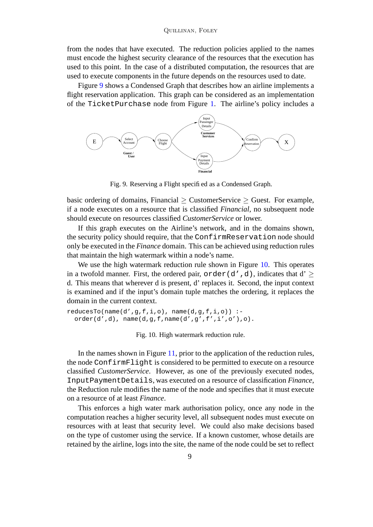from the nodes that have executed. The reduction policies applied to the names must encode the highest security clearance of the resources that the execution has used to this point. In the case of a distributed computation, the resources that are used to execute components in the future depends on the resources used to date.

Figure [9](#page-8-0) shows a Condensed Graph that describes how an airline implements a flight reservation application. This graph can be considered as an implementation of the TicketPurchase node from Figure [1.](#page-2-0) The airline's policy includes a



Fig. 9. Reserving a Flight specified as a Condensed Graph.

<span id="page-8-0"></span>basic ordering of domains, Financial  $\geq$  CustomerService  $\geq$  Guest. For example, if a node executes on a resource that is classified *Financial*, no subsequent node should execute on resources classified *CustomerService* or lower.

If this graph executes on the Airline's network, and in the domains shown, the security policy should require, that the ConfirmReservation node should only be executed in the *Finance* domain. This can be achieved using reduction rules that maintain the high watermark within a node's name.

We use the high watermark reduction rule shown in Figure [10.](#page-8-1) This operates in a twofold manner. First, the ordered pair, order(d',d), indicates that  $d'$ d. This means that wherever d is present, d' replaces it. Second, the input context is examined and if the input's domain tuple matches the ordering, it replaces the domain in the current context.

```
reducesTo(name(d',g,f,i,o), name(d,g,f,i,o)) :-order(d',d), name(d,g,f,name(d',g',f',i',o'),o).
```
<span id="page-8-1"></span>Fig. 10. High watermark reduction rule.

In the names shown in Figure [11,](#page-9-1) prior to the application of the reduction rules, the node ConfirmFlight is considered to be permitted to execute on a resource classified *CustomerService*. However, as one of the previously executed nodes, InputPaymentDetails, was executed on a resource of classification *Finance*, the Reduction rule modifies the name of the node and specifies that it must execute on a resource of at least *Finance*.

This enforces a high water mark authorisation policy, once any node in the computation reaches a higher security level, all subsequent nodes must execute on resources with at least that security level. We could also make decisions based on the type of customer using the service. If a known customer, whose details are retained by the airline, logs into the site, the name of the node could be set to reflect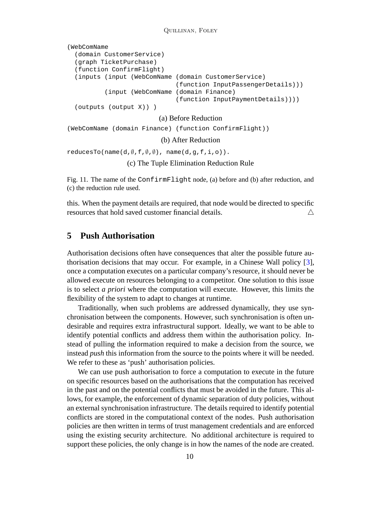```
(WebComName
  (domain CustomerService)
  (graph TicketPurchase)
  (function ConfirmFlight)
  (inputs (input (WebComName (domain CustomerService)
                             (function InputPassengerDetails)))
          (input (WebComName (domain Finance)
                             (function InputPaymentDetails))))
  (outputs (output X)) )
```
### (a) Before Reduction

(WebComName (domain Finance) (function ConfirmFlight))

#### (b) After Reduction

 $reducesTo(name(d, ∅, f, ∅, ∅), name(d, g, f, i, o)).$ 

### (c) The Tuple Elimination Reduction Rule

<span id="page-9-1"></span>Fig. 11. The name of the ConfirmFlight node, (a) before and (b) after reduction, and (c) the reduction rule used.

this. When the payment details are required, that node would be directed to specific resources that hold saved customer financial details.  $\triangle$ 

# <span id="page-9-0"></span>**5 Push Authorisation**

Authorisation decisions often have consequences that alter the possible future authorisation decisions that may occur. For example, in a Chinese Wall policy [\[3\]](#page-13-2), once a computation executes on a particular company's resource, it should never be allowed execute on resources belonging to a competitor. One solution to this issue is to select *a priori* where the computation will execute. However, this limits the flexibility of the system to adapt to changes at runtime.

Traditionally, when such problems are addressed dynamically, they use synchronisation between the components. However, such synchronisation is often undesirable and requires extra infrastructural support. Ideally, we want to be able to identify potential conflicts and address them within the authorisation policy. Instead of pulling the information required to make a decision from the source, we instead *push* this information from the source to the points where it will be needed. We refer to these as 'push' authorisation policies.

We can use push authorisation to force a computation to execute in the future on specific resources based on the authorisations that the computation has received in the past and on the potential conflicts that must be avoided in the future. This allows, for example, the enforcement of dynamic separation of duty policies, without an external synchronisation infrastructure. The details required to identify potential conflicts are stored in the computational context of the nodes. Push authorisation policies are then written in terms of trust management credentials and are enforced using the existing security architecture. No additional architecture is required to support these policies, the only change is in how the names of the node are created.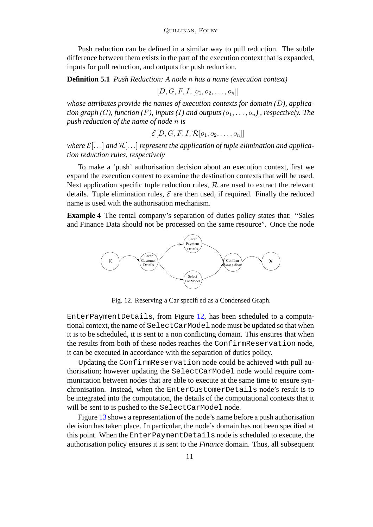Push reduction can be defined in a similar way to pull reduction. The subtle difference between them exists in the part of the execution context that is expanded, inputs for pull reduction, and outputs for push reduction.

**Definition 5.1** *Push Reduction: A node* n *has a name (execution context)*

 $[D, G, F, I, [o_1, o_2, \ldots, o_n]]$ 

*whose attributes provide the names of execution contexts for domain (*D*), application graph* (*G*), *function* (*F*), *inputs* (*I*) *and outputs* ( $o_1, \ldots, o_n$ ), *respectively. The push reduction of the name of node* n *is*

$$
\mathcal{E}[D,G,F,I,\mathcal{R}[o_1,o_2,\ldots,o_n]]
$$

*where*  $\mathcal{E}[\ldots]$  *and*  $\mathcal{R}[\ldots]$  *represent the application of tuple elimination and application reduction rules, respectively*

To make a 'push' authorisation decision about an execution context, first we expand the execution context to examine the destination contexts that will be used. Next application specific tuple reduction rules,  $R$  are used to extract the relevant details. Tuple elimination rules,  $\mathcal E$  are then used, if required. Finally the reduced name is used with the authorisation mechanism.

**Example** 4 The rental company's separation of duties policy states that: "Sales" and Finance Data should not be processed on the same resource". Once the node



<span id="page-10-0"></span>Fig. 12. Reserving a Car specified as a Condensed Graph.

EnterPaymentDetails, from Figure [12,](#page-10-0) has been scheduled to a computational context, the name of SelectCarModel node must be updated so that when it is to be scheduled, it is sent to a non conflicting domain. This ensures that when the results from both of these nodes reaches the ConfirmReservation node, it can be executed in accordance with the separation of duties policy.

Updating the ConfirmReservation node could be achieved with pull authorisation; however updating the SelectCarModel node would require communication between nodes that are able to execute at the same time to ensure synchronisation. Instead, when the EnterCustomerDetails node's result is to be integrated into the computation, the details of the computational contexts that it will be sent to is pushed to the SelectCarModel node.

Figure [13](#page-11-0) shows a representation of the node's name before a push authorisation decision has taken place. In particular, the node's domain has not been specified at this point. When the EnterPaymentDetails node is scheduled to execute, the authorisation policy ensures it is sent to the *Finance* domain. Thus, all subsequent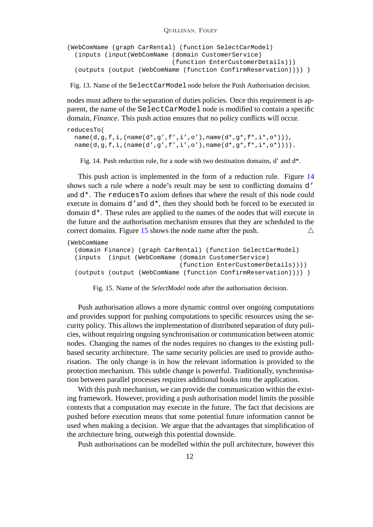```
(WebComName (graph CarRental) (function SelectCarModel)
  (inputs (input(WebComName (domain CustomerService)
                            (function EnterCustomerDetails)))
  (outputs (output (WebComName (function ConfirmReservation)))) )
```
Fig. 13. Name of the SelectCarModel node before the Push Authorisation decision.

<span id="page-11-0"></span>nodes must adhere to the separation of duties policies. Once this requirement is apparent, the name of the SelectCarModel node is modified to contain a specific domain, *Finance*. This push action ensures that no policy conflicts will occur.

reducesTo(

```
name(d,g,f,i,(name(d*,g',f',i',o'),name(d*,g*,f*,i*,o*))),
name(d,g,f,i,(name(d',g',f',i',o'),name(d*,g*,f*,i*,o*)))).
```
Fig. 14. Push reduction rule, for a node with two destination domains, d' and d\*.

<span id="page-11-1"></span>This push action is implemented in the form of a reduction rule. Figure [14](#page-11-1) shows such a rule where a node's result may be sent to conflicting domains d' and  $d^*$ . The reduces To axiom defines that where the result of this node could execute in domains d'and d\*, then they should both be forced to be executed in domain d\*. These rules are applied to the names of the nodes that will execute in the future and the authorisation mechanism ensures that they are scheduled to the correct domains. Figure [15](#page-11-2) shows the node name after the push.  $\triangle$ 

```
(WebComName
  (domain Finance) (graph CarRental) (function SelectCarModel)
  (inputs (input (WebComName (domain CustomerService)
                              (function EnterCustomerDetails))))
  (outputs (output (WebComName (function ConfirmReservation)))) )
```


<span id="page-11-2"></span>Push authorisation allows a more dynamic control over ongoing computations and provides support for pushing computations to specific resources using the security policy. This allows the implementation of distributed separation of duty policies, without requiring ongoing synchronisation or communication between atomic nodes. Changing the names of the nodes requires no changes to the existing pullbased security architecture. The same security policies are used to provide authorisation. The only change is in how the relevant information is provided to the protection mechanism. This subtle change is powerful. Traditionally, synchronisation between parallel processes requires additional hooks into the application.

With this push mechanism, we can provide the communication within the existing framework. However, providing a push authorisation model limits the possible contexts that a computation may execute in the future. The fact that decisions are pushed before execution means that some potential future information cannot be used when making a decision. We argue that the advantages that simplification of the architecture bring, outweigh this potential downside.

Push authorisations can be modelled within the pull architecture, however this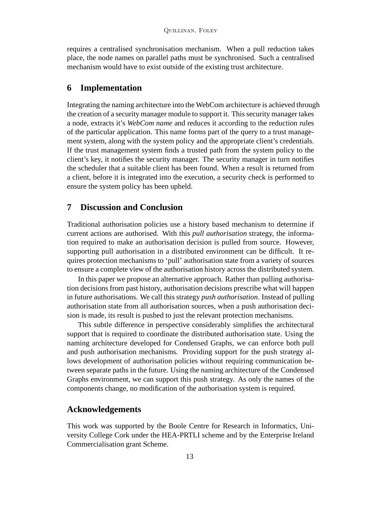requires a centralised synchronisation mechanism. When a pull reduction takes place, the node names on parallel paths must be synchronised. Such a centralised mechanism would have to exist outside of the existing trust architecture.

## **6 Implementation**

Integrating the naming architecture into the WebCom architecture is achieved through the creation of a security manager module to support it. Thissecurity manager takes a node, extracts it's *WebCom name* and reduces it according to the reduction rules of the particular application. This name forms part of the query to a trust management system, along with the system policy and the appropriate client's credentials. If the trust management system finds a trusted path from the system policy to the client's key, it notifies the security manager. The security manager in turn notifies the scheduler that a suitable client has been found. When a result is returned from a client, before it is integrated into the execution, a security check is performed to ensure the system policy has been upheld.

### **7 Discussion and Conclusion**

Traditional authorisation policies use a history based mechanism to determine if current actions are authorised. With this *pull authorisation* strategy, the information required to make an authorisation decision is pulled from source. However, supporting pull authorisation in a distributed environment can be difficult. It requires protection mechanisms to 'pull' authorisation state from a variety of sources to ensure a complete view of the authorisation history across the distributed system.

In this paper we propose an alternative approach. Rather than pulling authorisation decisions from past history, authorisation decisions prescribe what will happen in future authorisations. We call this strategy *push authorisation*. Instead of pulling authorisation state from all authorisation sources, when a push authorisation decision is made, its result is pushed to just the relevant protection mechanisms.

This subtle difference in perspective considerably simplifies the architectural support that is required to coordinate the distributed authorisation state. Using the naming architecture developed for Condensed Graphs, we can enforce both pull and push authorisation mechanisms. Providing support for the push strategy allows development of authorisation policies without requiring communication between separate paths in the future. Using the naming architecture of the Condensed Graphs environment, we can support this push strategy. As only the names of the components change, no modification of the authorisation system is required.

# **Acknowledgements**

This work was supported by the Boole Centre for Research in Informatics, University College Cork under the HEA-PRTLI scheme and by the Enterprise Ireland Commercialisation grant Scheme.